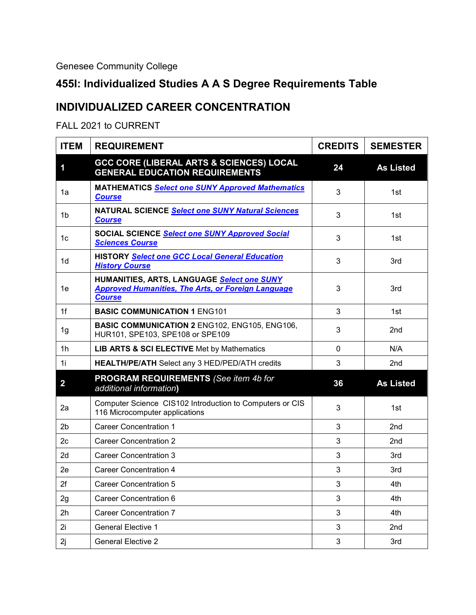Genesee Community College

## **455I: Individualized Studies A A S Degree Requirements Table**

## **INDIVIDUALIZED CAREER CONCENTRATION**

FALL 2021 to CURRENT

| <b>ITEM</b>    | <b>REQUIREMENT</b>                                                                                                       | <b>CREDITS</b> | <b>SEMESTER</b>  |
|----------------|--------------------------------------------------------------------------------------------------------------------------|----------------|------------------|
| 1              | <b>GCC CORE (LIBERAL ARTS &amp; SCIENCES) LOCAL</b><br><b>GENERAL EDUCATION REQUIREMENTS</b>                             | 24             | <b>As Listed</b> |
| 1a             | <b>MATHEMATICS Select one SUNY Approved Mathematics</b><br><b>Course</b>                                                 | 3              | 1st              |
| 1b             | NATURAL SCIENCE Select one SUNY Natural Sciences<br><b>Course</b>                                                        | 3              | 1st              |
| 1c             | SOCIAL SCIENCE Select one SUNY Approved Social<br><b>Sciences Course</b>                                                 | 3              | 1st              |
| 1d             | HISTORY Select one GCC Local General Education<br><b>History Course</b>                                                  | 3              | 3rd              |
| 1e             | HUMANITIES, ARTS, LANGUAGE Select one SUNY<br><b>Approved Humanities, The Arts, or Foreign Language</b><br><b>Course</b> | 3              | 3rd              |
| 1f             | <b>BASIC COMMUNICATION 1 ENG101</b>                                                                                      | 3              | 1st              |
| 1g             | <b>BASIC COMMUNICATION 2 ENG102, ENG105, ENG106,</b><br>HUR101, SPE103, SPE108 or SPE109                                 | 3              | 2nd              |
| 1h             | <b>LIB ARTS &amp; SCI ELECTIVE Met by Mathematics</b>                                                                    | $\mathbf{0}$   | N/A              |
| 1i             | HEALTH/PE/ATH Select any 3 HED/PED/ATH credits                                                                           | 3              | 2nd              |
| $\overline{2}$ | <b>PROGRAM REQUIREMENTS</b> (See item 4b for<br>additional information)                                                  | 36             | <b>As Listed</b> |
| 2a             | Computer Science CIS102 Introduction to Computers or CIS<br>116 Microcomputer applications                               | 3              | 1st              |
| 2 <sub>b</sub> | <b>Career Concentration 1</b>                                                                                            | 3              | 2nd              |
| 2 <sub>c</sub> | <b>Career Concentration 2</b>                                                                                            | 3              | 2nd              |
| 2d             | <b>Career Concentration 3</b>                                                                                            | 3              | 3rd              |
| 2e             | Career Concentration 4                                                                                                   | 3              | 3rd              |
| 2f             | <b>Career Concentration 5</b>                                                                                            | 3              | 4th              |
| 2g             | Career Concentration 6                                                                                                   | 3              | 4th              |
| 2h             | <b>Career Concentration 7</b>                                                                                            | 3              | 4th              |
| 2i             | <b>General Elective 1</b>                                                                                                | 3              | 2nd              |
| 2j             | <b>General Elective 2</b>                                                                                                | 3              | 3rd              |